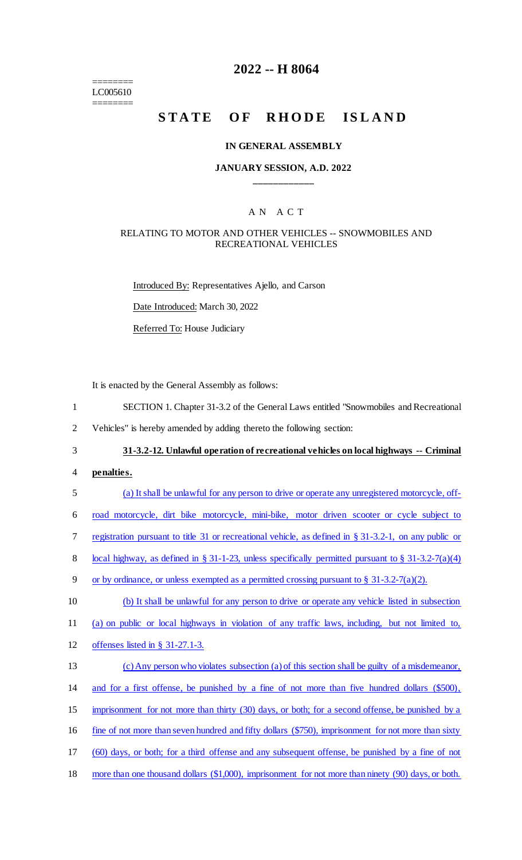======== LC005610 ========

### **2022 -- H 8064**

# STATE OF RHODE ISLAND

#### **IN GENERAL ASSEMBLY**

#### **JANUARY SESSION, A.D. 2022 \_\_\_\_\_\_\_\_\_\_\_\_**

#### A N A C T

#### RELATING TO MOTOR AND OTHER VEHICLES -- SNOWMOBILES AND RECREATIONAL VEHICLES

Introduced By: Representatives Ajello, and Carson Date Introduced: March 30, 2022 Referred To: House Judiciary

It is enacted by the General Assembly as follows:

- 1 SECTION 1. Chapter 31-3.2 of the General Laws entitled "Snowmobiles and Recreational
- 2 Vehicles" is hereby amended by adding thereto the following section:

3 **31-3.2-12. Unlawful operation of recreational vehicles on local highways -- Criminal** 

- 4 **penalties.**
- 5 (a) It shall be unlawful for any person to drive or operate any unregistered motorcycle, off-6 road motorcycle, dirt bike motorcycle, mini-bike, motor driven scooter or cycle subject to 7 registration pursuant to title 31 or recreational vehicle, as defined in § 31-3.2-1, on any public or 8 local highway, as defined in § 31-1-23, unless specifically permitted pursuant to § 31-3.2-7(a)(4) 9 or by ordinance, or unless exempted as a permitted crossing pursuant to § 31-3.2-7(a)(2). 10 (b) It shall be unlawful for any person to drive or operate any vehicle listed in subsection 11 (a) on public or local highways in violation of any traffic laws, including, but not limited to, 12 offenses listed in § 31-27.1-3. 13 (c) Any person who violates subsection (a) of this section shall be guilty of a misdemeanor, 14 and for a first offense, be punished by a fine of not more than five hundred dollars (\$500), 15 imprisonment for not more than thirty (30) days, or both; for a second offense, be punished by a 16 fine of not more than seven hundred and fifty dollars (\$750), imprisonment for not more than sixty 17 (60) days, or both; for a third offense and any subsequent offense, be punished by a fine of not 18 more than one thousand dollars (\$1,000), imprisonment for not more than ninety (90) days, or both.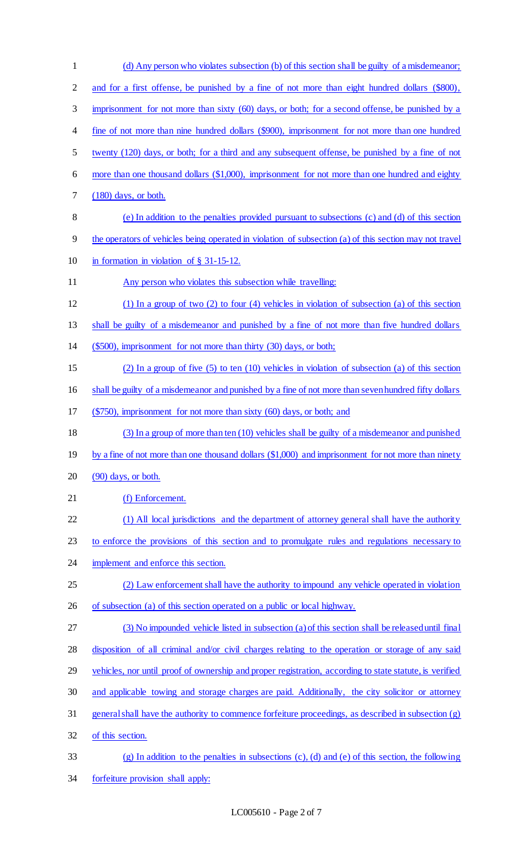| $\mathbf{1}$ | (d) Any person who violates subsection (b) of this section shall be guilty of a misdemeanor;             |
|--------------|----------------------------------------------------------------------------------------------------------|
| 2            | and for a first offense, be punished by a fine of not more than eight hundred dollars (\$800),           |
| 3            | imprisonment for not more than sixty (60) days, or both; for a second offense, be punished by a          |
| 4            | fine of not more than nine hundred dollars (\$900), imprisonment for not more than one hundred           |
| 5            | twenty (120) days, or both; for a third and any subsequent offense, be punished by a fine of not         |
| 6            | more than one thousand dollars (\$1,000), imprisonment for not more than one hundred and eighty          |
| 7            | $(180)$ days, or both.                                                                                   |
| $8\,$        | (e) In addition to the penalties provided pursuant to subsections (c) and (d) of this section            |
| 9            | the operators of vehicles being operated in violation of subsection (a) of this section may not travel   |
| 10           | in formation in violation of $\S$ 31-15-12.                                                              |
| 11           | Any person who violates this subsection while travelling:                                                |
| 12           | $(1)$ In a group of two $(2)$ to four $(4)$ vehicles in violation of subsection $(a)$ of this section    |
| 13           | shall be guilty of a misdemeanor and punished by a fine of not more than five hundred dollars            |
| 14           | (\$500), imprisonment for not more than thirty (30) days, or both;                                       |
| 15           | (2) In a group of five $(5)$ to ten $(10)$ vehicles in violation of subsection (a) of this section       |
| 16           | shall be guilty of a misdemeanor and punished by a fine of not more than seven hundred fifty dollars     |
| 17           | $(\$750)$ , imprisonment for not more than sixty $(60)$ days, or both; and                               |
| 18           | (3) In a group of more than ten (10) vehicles shall be guilty of a misdemeanor and punished              |
| 19           | by a fine of not more than one thousand dollars (\$1,000) and imprisonment for not more than ninety      |
| 20           | $(90)$ days, or both.                                                                                    |
| 21           | (f) Enforcement.                                                                                         |
| 22           | (1) All local jurisdictions and the department of attorney general shall have the authority              |
| 23           | to enforce the provisions of this section and to promulgate rules and regulations necessary to           |
| 24           | implement and enforce this section.                                                                      |
| 25           | (2) Law enforcement shall have the authority to impound any vehicle operated in violation                |
| 26           | of subsection (a) of this section operated on a public or local highway.                                 |
| 27           | (3) No impounded vehicle listed in subsection (a) of this section shall be released until final          |
| 28           | disposition of all criminal and/or civil charges relating to the operation or storage of any said        |
| 29           | vehicles, nor until proof of ownership and proper registration, according to state statute, is verified  |
| 30           | and applicable towing and storage charges are paid. Additionally, the city solicitor or attorney         |
| 31           | general shall have the authority to commence forfeiture proceedings, as described in subsection (g)      |
| 32           | of this section.                                                                                         |
| 33           | $(g)$ In addition to the penalties in subsections $(c)$ , $(d)$ and $(e)$ of this section, the following |
| 34           | forfeiture provision shall apply:                                                                        |

## LC005610 - Page 2 of 7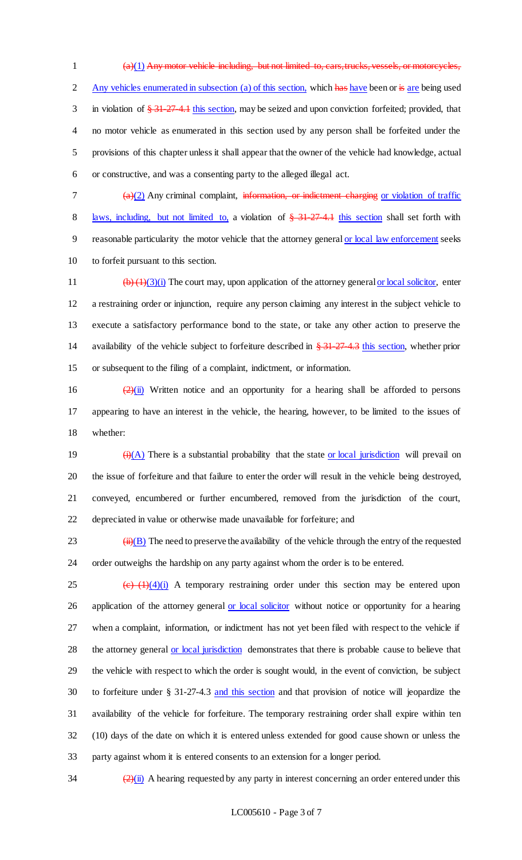$(a)(1)$  Any motor vehicle including, but not limited to, cars, trucks, vessels, or motorcycles, 2 Any vehicles enumerated in subsection (a) of this section, which has have been or is are being used 3 in violation of  $\frac{274.1 \text{ this section}}{274.1 \text{ this section}}$ , may be seized and upon conviction forfeited; provided, that no motor vehicle as enumerated in this section used by any person shall be forfeited under the provisions of this chapter unless it shall appear that the owner of the vehicle had knowledge, actual or constructive, and was a consenting party to the alleged illegal act.

 $7 \left( \frac{a}{2} \right)$  Any criminal complaint, information, or indictment charging or violation of traffic 8 laws, including, but not limited to, a violation of  $\frac{24.274}{10.1}$  this section shall set forth with reasonable particularity the motor vehicle that the attorney general or local law enforcement seeks to forfeit pursuant to this section.

 $\left(\frac{b}{(1)(3)(i)}\right)$  The court may, upon application of the attorney general or local solicitor, enter a restraining order or injunction, require any person claiming any interest in the subject vehicle to execute a satisfactory performance bond to the state, or take any other action to preserve the 14 availability of the vehicle subject to forfeiture described in  $\frac{1274-127}{127-127-127}$  this section, whether prior or subsequent to the filing of a complaint, indictment, or information.

16  $\frac{(2)(ii)}{(2)(ii)}$  Written notice and an opportunity for a hearing shall be afforded to persons appearing to have an interest in the vehicle, the hearing, however, to be limited to the issues of whether:

 $\frac{(\mathbf{i}) (\mathbf{A})}{(\mathbf{A})}$  There is a substantial probability that the state <u>or local jurisdiction</u> will prevail on the issue of forfeiture and that failure to enter the order will result in the vehicle being destroyed, conveyed, encumbered or further encumbered, removed from the jurisdiction of the court, depreciated in value or otherwise made unavailable for forfeiture; and

 $\frac{1}{2}$  (ii)(B) The need to preserve the availability of the vehicle through the entry of the requested order outweighs the hardship on any party against whom the order is to be entered.

 (c)  $(1)(4)(i)$  A temporary restraining order under this section may be entered upon 26 application of the attorney general or local solicitor without notice or opportunity for a hearing when a complaint, information, or indictment has not yet been filed with respect to the vehicle if the attorney general or local jurisdiction demonstrates that there is probable cause to believe that the vehicle with respect to which the order is sought would, in the event of conviction, be subject to forfeiture under § 31-27-4.3 and this section and that provision of notice will jeopardize the availability of the vehicle for forfeiture. The temporary restraining order shall expire within ten (10) days of the date on which it is entered unless extended for good cause shown or unless the party against whom it is entered consents to an extension for a longer period.

 $\frac{(2)(ii)}{ii}$  A hearing requested by any party in interest concerning an order entered under this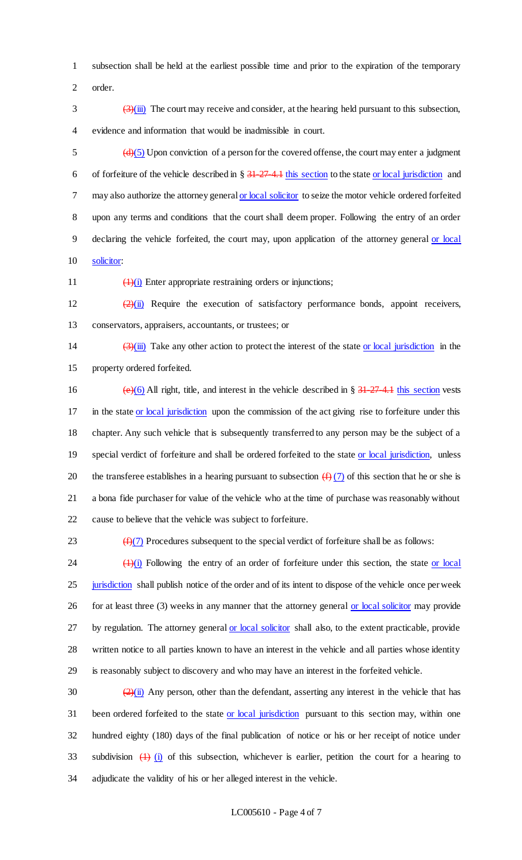1 subsection shall be held at the earliest possible time and prior to the expiration of the temporary 2 order.

 $\frac{3}{(3)}$  ( $\frac{3}{(ii)}$ ) The court may receive and consider, at the hearing held pursuant to this subsection, 4 evidence and information that would be inadmissible in court.

 $\left(\frac{d}{d}\right)$  Upon conviction of a person for the covered offense, the court may enter a judgment 6 of forfeiture of the vehicle described in  $\S 31-27-4.1$  this section to the state or local jurisdiction and may also authorize the attorney general or local solicitor to seize the motor vehicle ordered forfeited upon any terms and conditions that the court shall deem proper. Following the entry of an order declaring the vehicle forfeited, the court may, upon application of the attorney general or local solicitor:

11 (1)(i) Enter appropriate restraining orders or injunctions;

12  $\left(2\right)(ii)$  Require the execution of satisfactory performance bonds, appoint receivers, 13 conservators, appraisers, accountants, or trustees; or

14  $(3)(iii)$  Take any other action to protect the interest of the state or local jurisdiction in the 15 property ordered forfeited.

16 (e)(6) All right, title, and interest in the vehicle described in §  $\frac{31-27-4.1}{27-4.1}$  this section vests 17 in the state or local jurisdiction upon the commission of the act giving rise to forfeiture under this 18 chapter. Any such vehicle that is subsequently transferred to any person may be the subject of a 19 special verdict of forfeiture and shall be ordered forfeited to the state or local jurisdiction, unless 20 the transferee establishes in a hearing pursuant to subsection  $(f)(7)$  of this section that he or she is 21 a bona fide purchaser for value of the vehicle who at the time of purchase was reasonably without 22 cause to believe that the vehicle was subject to forfeiture.

23  $(f)(7)$  Procedures subsequent to the special verdict of forfeiture shall be as follows:

 $\frac{(1)(i)}{i}$  Following the entry of an order of forfeiture under this section, the state or local 25 jurisdiction shall publish notice of the order and of its intent to dispose of the vehicle once per week 26 for at least three (3) weeks in any manner that the attorney general or local solicitor may provide 27 by regulation. The attorney general or local solicitor shall also, to the extent practicable, provide 28 written notice to all parties known to have an interest in the vehicle and all parties whose identity 29 is reasonably subject to discovery and who may have an interest in the forfeited vehicle.

30  $\frac{(2)(i)}{2}$  Any person, other than the defendant, asserting any interest in the vehicle that has 31 been ordered forfeited to the state or local jurisdiction pursuant to this section may, within one 32 hundred eighty (180) days of the final publication of notice or his or her receipt of notice under 33 subdivision  $\left(1\right)$  (i) of this subsection, whichever is earlier, petition the court for a hearing to 34 adjudicate the validity of his or her alleged interest in the vehicle.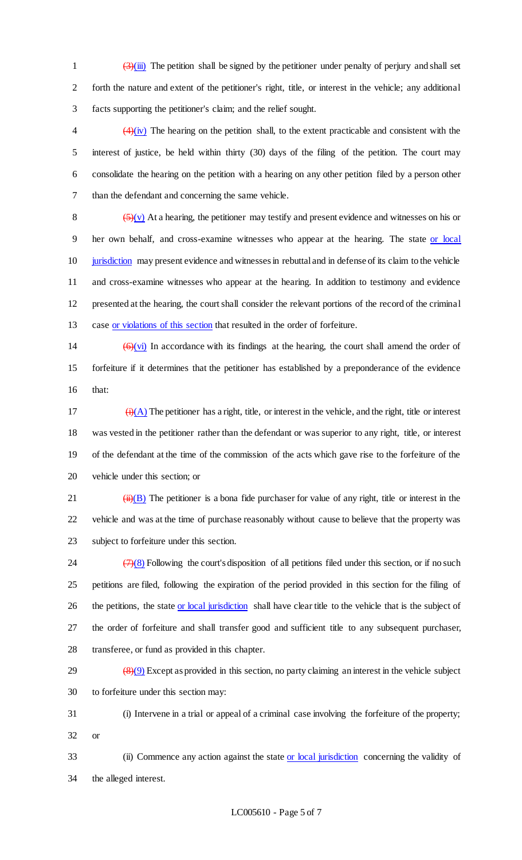1  $\left(3\right)$ (iii) The petition shall be signed by the petitioner under penalty of perjury and shall set forth the nature and extent of the petitioner's right, title, or interest in the vehicle; any additional facts supporting the petitioner's claim; and the relief sought.

 $\left(4\right)(iv)$  The hearing on the petition shall, to the extent practicable and consistent with the interest of justice, be held within thirty (30) days of the filing of the petition. The court may consolidate the hearing on the petition with a hearing on any other petition filed by a person other than the defendant and concerning the same vehicle.

 $\left(\frac{5}{\sqrt{v}}\right)$  At a hearing, the petitioner may testify and present evidence and witnesses on his or her own behalf, and cross-examine witnesses who appear at the hearing. The state or local jurisdiction may present evidence and witnesses in rebuttal and in defense of its claim to the vehicle and cross-examine witnesses who appear at the hearing. In addition to testimony and evidence presented at the hearing, the court shall consider the relevant portions of the record of the criminal case or violations of this section that resulted in the order of forfeiture.

14  $(6)(vi)$  In accordance with its findings at the hearing, the court shall amend the order of forfeiture if it determines that the petitioner has established by a preponderance of the evidence that:

 $(i)(A)$  The petitioner has a right, title, or interest in the vehicle, and the right, title or interest was vested in the petitioner rather than the defendant or was superior to any right, title, or interest of the defendant at the time of the commission of the acts which gave rise to the forfeiture of the vehicle under this section; or

21  $(iii)(B)$  The petitioner is a bona fide purchaser for value of any right, title or interest in the vehicle and was at the time of purchase reasonably without cause to believe that the property was subject to forfeiture under this section.

 $\left(\frac{7}{8}\right)$  Following the court's disposition of all petitions filed under this section, or if no such petitions are filed, following the expiration of the period provided in this section for the filing of 26 the petitions, the state or local jurisdiction shall have clear title to the vehicle that is the subject of the order of forfeiture and shall transfer good and sufficient title to any subsequent purchaser, transferee, or fund as provided in this chapter.

 $(8)(9)$  Except as provided in this section, no party claiming an interest in the vehicle subject to forfeiture under this section may:

 (i) Intervene in a trial or appeal of a criminal case involving the forfeiture of the property; or

 (ii) Commence any action against the state or local jurisdiction concerning the validity of the alleged interest.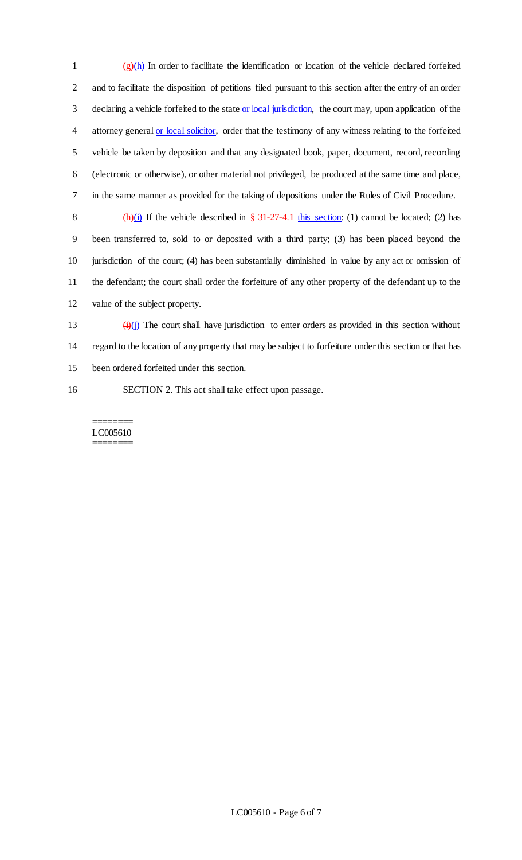$\frac{1}{(g)(h)}$  In order to facilitate the identification or location of the vehicle declared forfeited 2 and to facilitate the disposition of petitions filed pursuant to this section after the entry of an order 3 declaring a vehicle forfeited to the state or local jurisdiction, the court may, upon application of the 4 attorney general or local solicitor, order that the testimony of any witness relating to the forfeited 5 vehicle be taken by deposition and that any designated book, paper, document, record, recording 6 (electronic or otherwise), or other material not privileged, be produced at the same time and place, 7 in the same manner as provided for the taking of depositions under the Rules of Civil Procedure.

8 (h)(i) If the vehicle described in  $\frac{24.274}{10.5}$  this section: (1) cannot be located; (2) has been transferred to, sold to or deposited with a third party; (3) has been placed beyond the jurisdiction of the court; (4) has been substantially diminished in value by any act or omission of the defendant; the court shall order the forfeiture of any other property of the defendant up to the value of the subject property.

13  $(i)(j)$  The court shall have jurisdiction to enter orders as provided in this section without 14 regard to the location of any property that may be subject to forfeiture under this section or that has 15 been ordered forfeited under this section.

16 SECTION 2. This act shall take effect upon passage.

======== LC005610 ========